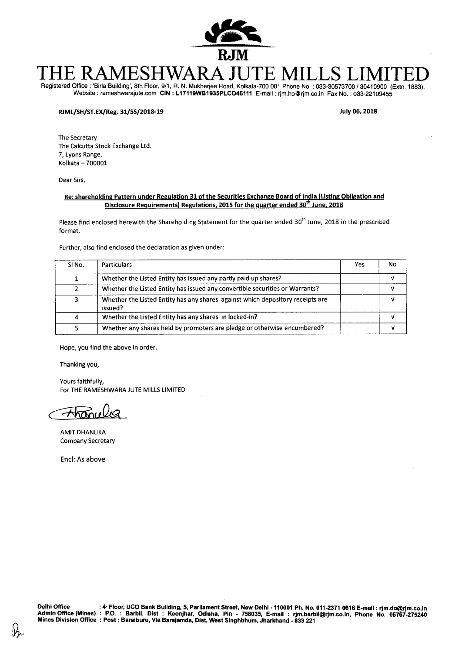

# THE RAMESHWARA JUTE MILLS LIMITED Registered Office : 'Birla Building', 8th Floor, 9/1, R. N. Mukherjee Road, Kolkata-700 001 Phone No. : 033-30573700 / 30410900 (Extn. 1883),

Website : rameshwarajute.com **CIN : L17119WB1935PLC046111** E-mail : rjm.hoOrjm.co.in Fax No. : 033-22109455

#### **RJML/SH/ST.EX/Reg. 31/SS/2018-19 July 06, 2018**

The Secretary The Calcutta Stock Exchange Ltd. 7, Lyons Range, Kolkata — 700001

Dear Sirs,

#### **Re: shareholding Pattern under Regulation 31 of the Securities Exchange Board of India (Listing Obligation and Disclosure Requirements) Regulations, 2015 for the quarter ended 30 th June, 2018**

Please find enclosed herewith the Shareholding Statement for the quarter ended 30<sup>th</sup> June, 2018 in the prescribed format.

Further, also find enclosed the declaration as given under:

| SINO. | <b>Particulars</b>                                                                        | Yes | No |
|-------|-------------------------------------------------------------------------------------------|-----|----|
|       | Whether the Listed Entity has issued any partly paid up shares?                           |     |    |
|       | Whether the Listed Entity has issued any convertible securities or Warrants?              |     |    |
| 3     | Whether the Listed Entity has any shares against which depository receipts are<br>issued? |     |    |
| 4     | Whether the Listed Entity has any shares in locked-in?                                    |     |    |
|       | Whether any shares held by promoters are pledge or otherwise encumbered?                  |     |    |

Hope, you find the above in order.

Thanking you,

Yours faithfully, For THE RAMESHWARA JUTE MILLS LIMITED

<u>Ahanule</u>

AMIT DHANUKA Company Secretary

Encl: As above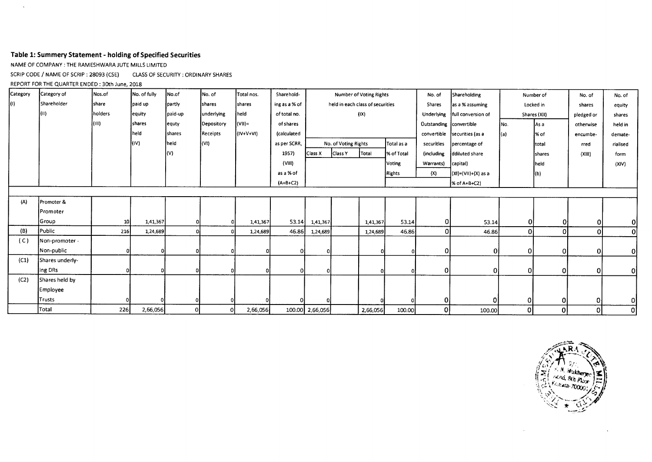# **Table 1: Summery Statement - holding of Specified Securities**

NAME OF COMPANY : THE RAMESHWARA JUTE MILLS LIMITED

SCRIP CODE / NAME OF SCRIP : 28093 (CSE) CLASS OF SECURITY : ORDINARY SHARES

REPORT FOR THE QUARTER ENDED : 30th June, 2018

 $\mathcal{A}^{\mathcal{A}}$ 

| Category | Category of     | Nos.of         | No. of fully | No.of         | No. of         | Total nos. | Sharehold-    | Number of Voting Rights |                                  | No. of   | Shareholding | Number of               |                              | No. of   | No. of         |              |                |
|----------|-----------------|----------------|--------------|---------------|----------------|------------|---------------|-------------------------|----------------------------------|----------|--------------|-------------------------|------------------------------|----------|----------------|--------------|----------------|
| IO)      | Shareholder     | <b>I</b> share | paid up      | partly        | <b>Ishares</b> | shares     | ing as a % of |                         | held in each class of securities |          |              | Shares                  | as a % assuming              |          | Locked in      | shares       | equity         |
|          | [(II)           | holders        | equity       | paid-up       | lunderlying    | held       | of total no.  |                         |                                  | (IX)     |              | Underlying              | full conversion of           |          | Shares (XII)   | pledged or   | shares         |
|          |                 | (III)          | shares       | equty         | Depository     | $ (V I) =$ | of shares     |                         |                                  |          |              | Outstanding Convertible |                              | INo.     | As a           | otherwise    | held in        |
|          |                 |                | held         | <i>shares</i> | Receipts       | (IV+V+VI)  | (calculated   |                         |                                  |          |              |                         | convertible securities (as a | l(a)     | 1% of          | encumbe-     | demate-        |
|          |                 |                | (IV)         | held          | (VI)           |            | as per SCRR,  |                         | No. of Voting Rights             |          | Total as a   | securities              | percentage of                |          | total          | rred         | rialised       |
|          |                 |                |              | (V)           |                |            | 1957)         | Class X                 | <b>Class Y</b>                   | Total    | % of Total   | (including              | ddiluted share               |          | <b>Ishares</b> | (XIII)       | form           |
|          |                 |                |              |               |                |            | (VIII)        |                         |                                  |          | Voting       | Warrants)               | capital)                     |          | held           |              | (XIV)          |
|          |                 |                |              |               |                |            | as a % of     |                         |                                  |          | Rights       | (X)                     | $(xi) = (Vii) + (X)$ as a    |          | (b)            |              |                |
|          |                 |                |              |               |                |            | $(A+B+C2)$    |                         |                                  |          |              |                         | $% of A+B+C2$                |          |                |              |                |
|          |                 |                |              |               |                |            |               |                         |                                  |          |              |                         |                              |          |                |              |                |
| (A)      | Promoter &      |                |              |               |                |            |               |                         |                                  |          |              |                         |                              |          |                |              |                |
|          | Promoter        |                |              |               |                |            |               |                         |                                  |          |              |                         |                              |          |                |              |                |
|          | Group           | 10             | 1,41,367     |               |                | 1,41,367   | 53.14         | 1,41,367                |                                  | 1,41,367 | 53.14        | 0                       | 53.14                        | 0        | οI             | $\mathbf{0}$ | $\Omega$       |
| (B)      | Public          | 216            | 1,24,689     |               |                | 1,24,689   | 46.86         | 1,24,689                |                                  | 1,24,689 | 46.86        | 0                       | 46.86                        | $\Omega$ | $\Omega$       | 0l           | 0l             |
| (C)      | Non-promoter -  |                |              |               |                |            |               |                         |                                  |          |              |                         |                              |          |                |              |                |
|          | Non-public      |                | 0            |               |                |            | οI            |                         |                                  |          |              | $\mathbf{0}$            | 0                            | Οl       | $\mathbf{0}$   | $\mathbf 0$  | $\overline{0}$ |
| (C1)     | Shares underly- |                |              |               |                |            |               |                         |                                  |          |              |                         |                              |          |                |              |                |
|          | ing DRs         |                |              |               |                |            | $\Omega$      |                         |                                  |          |              | 0                       | $\mathbf{0}$                 | οl       | $\mathbf{0}$   | 0            | οI             |
| (C2)     | Shares held by  |                |              |               |                |            |               |                         |                                  |          |              |                         |                              |          |                |              |                |
|          | Employee        |                |              |               |                |            |               |                         |                                  |          |              |                         |                              |          |                |              |                |
|          | <b>Trusts</b>   |                |              | ΩI            |                |            |               |                         |                                  |          |              | $\overline{0}$          | ΩI                           | 0        | 0              | 0            | Οl             |
|          | Total           | 226            | 2,66,056     | οl            |                | 2,66,056   |               | 100.00 2,66,056         |                                  | 2,66,056 | 100.00       | 0                       | 100.00                       | 01       | 0              | οl           | οl             |

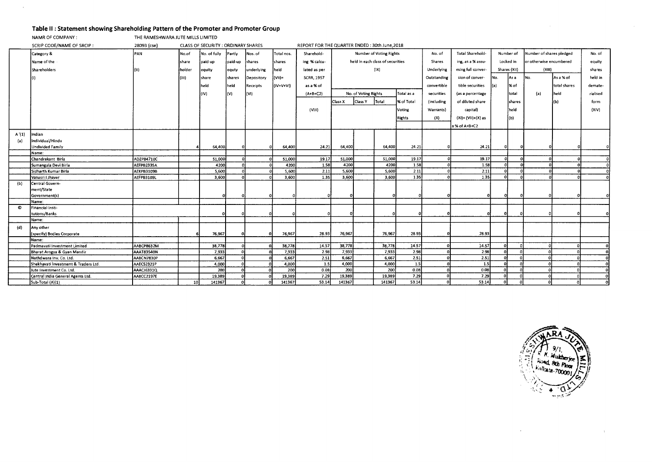# **Table II : Statement showing Shareholding Pattern of the Promoter and Promoter Group**

NAMR OF COMPANY : THE RAMESHWARA JUTE MILLS LIMITED

 $\mathcal{L}$ 

|       | SCRIP CODE/NAME OF SRCIP:            | CLASS OF SECURITY : ORDINARY SHARES<br>28093 (cse) |        |              |         |            |            |                   | REPORT FOR THE QUARTER ENDED: 30th June, 2018               |                      |        |                  |                   |                       |                          |                |                         |              |          |  |
|-------|--------------------------------------|----------------------------------------------------|--------|--------------|---------|------------|------------|-------------------|-------------------------------------------------------------|----------------------|--------|------------------|-------------------|-----------------------|--------------------------|----------------|-------------------------|--------------|----------|--|
|       | Category &                           | PAN                                                | No.of  | No. of fully | Partly  | Nos. of    | Total nos. | Sharehold-        | Number of Voting Rights<br>held in each class of securities |                      | No. of | Total Sharehold- |                   | Number of             | Number of shares pledged |                | No. of                  |              |          |  |
|       | Name of the                          |                                                    | share  | paid up      | paid-up | shares     | shares     | ing % calcu-      |                                                             |                      |        |                  | Shares            | ing, as a % assu-     |                          | Locked in      | or otherwise encumbered |              | equity   |  |
|       | Shareholders                         |                                                    | holder | equity       | equty   | underlying | held       | lated as per      |                                                             |                      | (IX)   |                  | Underlying        | ming full conver-     |                          | Shares (XII)   | (XIII)                  |              | shares   |  |
|       |                                      |                                                    | (111)  | share        | shares  | Depository | $($ VII) = | <b>SCRR, 1957</b> |                                                             |                      |        |                  | Outstanding       | sion of conver-       | INo.                     | l As a         | İNo.                    | As a % of    | held in  |  |
|       |                                      |                                                    |        | held         | Iheld   | Receipts   | (IV+V+VI)  | as a % of         |                                                             |                      |        |                  | convertible       | tible securities      | l(a)                     | l% of          |                         | total shares | demate-  |  |
|       |                                      |                                                    |        | (IV)         | l(V)    | (VI)       |            | $(A+B+C2)$        |                                                             | No. of Voting Rights |        | Total as a       | securities        | (as a percentage      |                          | total          | (a)                     | held         | rialised |  |
|       |                                      |                                                    |        |              |         |            |            |                   |                                                             |                      |        |                  |                   |                       |                          |                |                         |              |          |  |
|       |                                      |                                                    |        |              |         |            |            |                   | Class X                                                     | Class Y              | Total  | % of Total       | <i>(including</i> | of diluted share      |                          | <b>Ishares</b> |                         | (b)          | form     |  |
|       |                                      |                                                    |        |              |         |            |            | (VIII)            |                                                             |                      |        | Voting           | Warrants)         | capital)              |                          | held           |                         |              | (XIV)    |  |
|       |                                      |                                                    |        |              |         |            |            |                   |                                                             |                      |        | Rights           | (X)               | $(XI) = (VII)+(X)$ as |                          | l(b)           |                         |              |          |  |
|       |                                      |                                                    |        |              |         |            |            |                   |                                                             |                      |        |                  |                   | a % of A+B+C2         |                          |                |                         |              |          |  |
| A'(1) | Indian                               |                                                    |        |              |         |            |            |                   |                                                             |                      |        |                  |                   |                       |                          |                |                         |              |          |  |
| (a)   | Individual/Hindu                     |                                                    |        |              |         |            |            |                   |                                                             |                      |        |                  |                   |                       |                          |                |                         |              |          |  |
|       | <b>Undivided Family</b>              |                                                    |        | 64,400       |         |            | 64,400     | 24.21             | 64,400                                                      |                      | 64,400 | 24.21            |                   | 24.21                 |                          |                |                         |              |          |  |
|       | Name:                                |                                                    |        |              |         |            |            |                   |                                                             |                      |        |                  |                   |                       |                          |                |                         |              |          |  |
|       | Chandrakant Birla                    | ADZPB4710C                                         |        | 51,000       |         | $\Omega$   | 51,000     | 19.17             | 51,000                                                      |                      | 51,000 | 19.17            |                   | 19.17                 |                          |                |                         |              |          |  |
|       | Sumangala Devi Birla                 | AEFPB2335A                                         |        | 4200         |         |            | 4200       | 1.58              | 4200                                                        |                      | 4200   | 1.58             |                   | 1.58                  |                          |                |                         |              |          |  |
|       | Sidharth Kumar Birla                 | AEKPB3109B                                         |        | 5,600        |         |            | 5,600      | 2.11              | 5,600                                                       |                      | 5,600  | 2.11             |                   | 2.11                  |                          |                |                         |              |          |  |
|       | Vasusri I Jhaver                     | AEFPB3109L                                         |        | 3,600        |         |            | 3,600      | 1.35              | 3,600                                                       |                      | 3,600  | 1.35             |                   | 1.35                  |                          |                |                         |              |          |  |
| (b)   | Central Govern-                      |                                                    |        |              |         |            |            |                   |                                                             |                      |        |                  |                   |                       |                          |                |                         |              |          |  |
|       | ment/State                           |                                                    |        |              |         |            |            |                   |                                                             |                      |        |                  |                   |                       |                          |                |                         |              |          |  |
|       | Government(s)                        |                                                    |        |              |         |            |            |                   |                                                             |                      |        |                  |                   | -n.                   |                          |                |                         |              |          |  |
|       | Name:                                |                                                    |        |              |         |            |            |                   |                                                             |                      |        |                  |                   |                       |                          |                |                         |              |          |  |
| O     | Financial Insti-                     |                                                    |        |              |         |            |            |                   |                                                             |                      |        |                  |                   |                       |                          |                |                         |              |          |  |
|       | tutions/Banks                        |                                                    |        |              |         |            |            |                   |                                                             |                      |        |                  |                   |                       |                          |                |                         |              |          |  |
|       | Name:                                |                                                    |        |              |         |            |            |                   |                                                             |                      |        |                  |                   |                       |                          |                |                         |              |          |  |
| (d)   | Any other                            |                                                    |        |              |         |            |            |                   |                                                             |                      |        |                  |                   |                       |                          |                |                         |              |          |  |
|       | (specify) Bodies Corporate           |                                                    |        | 76,967       |         | n          | 76,967     | 28.93             | 76,967                                                      |                      | 76,967 | 28.93            |                   | 28.93                 |                          |                |                         |              |          |  |
|       | Name:                                |                                                    |        |              |         |            |            |                   |                                                             |                      |        |                  |                   |                       |                          |                |                         |              |          |  |
|       | Padmavati Investment Limited         | AABCP8632M                                         |        | 38,778       |         | nt         | 38,778     | 14.57             | 38,778                                                      |                      | 38,778 | 14.57            |                   | 14.57                 |                          |                |                         |              | ΩI       |  |
|       | Bharat Arogya & Gyan Mandir          | AAAT83540N                                         |        | 7,933        |         |            | 7,933      | 2.98              | 7,933                                                       |                      | 7,933  | 2.98             |                   | 2.98                  |                          |                |                         |              |          |  |
|       | Nathdwara Inv. Co. Ltd.              | AABCN7830P                                         |        | 6,667        |         |            | 6,667      | 2.51              | 6,667                                                       |                      | 6,667  | 2.51             |                   | 2.51                  |                          |                |                         |              |          |  |
|       | Shekhavati Investment & Traders Ltd. | AAECS2321P                                         |        | 4,000        |         |            | 4,000      | 1.5               | 4,000                                                       |                      | 4,000  | 1.5              |                   | 1.5                   |                          |                |                         |              |          |  |
|       | Jute Investment Co. Ltd              | AAACJ6331Q                                         |        | 200          |         |            | 200        | 0.08              | 200                                                         |                      | 200    | 0.08             |                   | 0.08                  |                          |                |                         |              |          |  |
|       | Central India General Agents Ltd.    | AA8CC2197E                                         |        | 19,389       |         |            | 19,389     | 7.29              | 19,389                                                      |                      | 19,389 | 7.29             |                   | 7.29                  |                          |                |                         |              |          |  |
|       | Sub-Total (A)(1)                     |                                                    | 10     | 141367       |         |            | 141367     | 53.14             | 141367                                                      |                      | 141367 | 53.14            |                   | S3.14                 | Ω                        |                |                         |              |          |  |

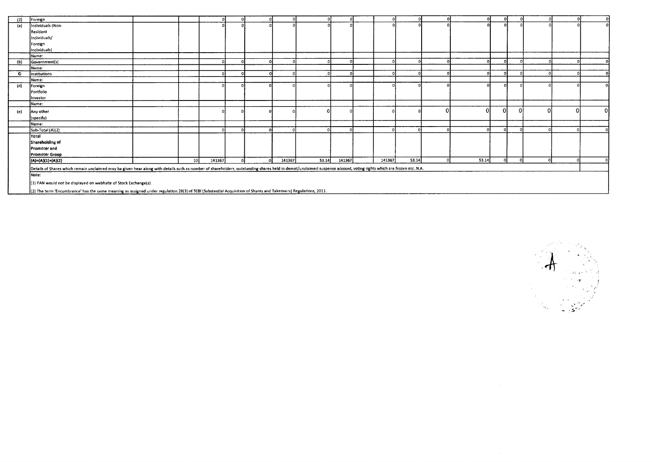| (2)       | Foreign                                                                                                                                                                                                             |                 |        |          |        |       |            |        |       |       |                |     |  |                |
|-----------|---------------------------------------------------------------------------------------------------------------------------------------------------------------------------------------------------------------------|-----------------|--------|----------|--------|-------|------------|--------|-------|-------|----------------|-----|--|----------------|
| (a)       | Individuals (Non-                                                                                                                                                                                                   |                 |        |          |        |       |            |        |       |       |                |     |  |                |
|           | Resident                                                                                                                                                                                                            |                 |        |          |        |       |            |        |       |       |                |     |  |                |
|           | Individuals/                                                                                                                                                                                                        |                 |        |          |        |       |            |        |       |       |                |     |  |                |
|           |                                                                                                                                                                                                                     |                 |        |          |        |       |            |        |       |       |                |     |  |                |
|           | Foreign                                                                                                                                                                                                             |                 |        |          |        |       |            |        |       |       |                |     |  |                |
|           | Individuals)                                                                                                                                                                                                        |                 |        |          |        |       |            |        |       |       |                |     |  |                |
|           | Name:                                                                                                                                                                                                               |                 |        |          |        |       |            |        |       |       |                |     |  |                |
| (b)       | Government(s)                                                                                                                                                                                                       |                 |        |          |        |       |            |        |       |       |                |     |  |                |
|           | Name:                                                                                                                                                                                                               |                 |        |          |        |       |            |        |       |       |                |     |  |                |
| $\bullet$ | Institutions                                                                                                                                                                                                        |                 | $\sim$ |          |        |       | $\sqrt{2}$ |        |       |       | $\Omega$       |     |  |                |
|           | Name:                                                                                                                                                                                                               |                 |        |          |        |       |            |        |       |       |                |     |  |                |
| (d)       | Foreign                                                                                                                                                                                                             |                 |        |          |        |       |            |        |       |       |                |     |  |                |
|           | Portfolio                                                                                                                                                                                                           |                 |        |          |        |       |            |        |       |       |                |     |  |                |
|           | Investor                                                                                                                                                                                                            |                 |        |          |        |       |            |        |       |       |                |     |  |                |
|           | Name:                                                                                                                                                                                                               |                 |        |          |        |       |            |        |       |       |                |     |  |                |
| (e)       | Any other                                                                                                                                                                                                           |                 |        |          |        |       |            |        |       |       | $\overline{0}$ | ΩI  |  | $\overline{0}$ |
|           | (specify)                                                                                                                                                                                                           |                 |        |          |        |       |            |        |       |       |                |     |  |                |
|           | Name:                                                                                                                                                                                                               |                 |        |          |        |       |            |        |       |       |                |     |  |                |
|           | Sub-Total (A)(2)                                                                                                                                                                                                    |                 |        |          |        |       |            |        |       |       | n              |     |  |                |
|           | Total                                                                                                                                                                                                               |                 |        |          |        |       |            |        |       |       |                |     |  |                |
|           | Shareholding of                                                                                                                                                                                                     |                 |        |          |        |       |            |        |       |       |                |     |  |                |
|           | <b>Promoter and</b>                                                                                                                                                                                                 |                 |        |          |        |       |            |        |       |       |                |     |  |                |
|           | <b>Promoter Group</b>                                                                                                                                                                                               |                 |        |          |        |       |            |        |       |       |                |     |  |                |
|           | $(A)=(A)(1)+(A)(2)$                                                                                                                                                                                                 | 10 <sup>1</sup> | 141367 | $\Omega$ | 141367 | 53.14 | 141367     | 141367 | 53.14 | 53.14 | പ              | -nl |  |                |
|           | Details of Shares which remain unclaimed may be given hear along with details such as number of shareholders, outstanding shares held in demat/unclaimed suspense account, voting rights which are frozen etc. N.A. |                 |        |          |        |       |            |        |       |       |                |     |  |                |
|           | Note:                                                                                                                                                                                                               |                 |        |          |        |       |            |        |       |       |                |     |  |                |
|           |                                                                                                                                                                                                                     |                 |        |          |        |       |            |        |       |       |                |     |  |                |
|           | (1) PAN would not be displayed on webhsite of Stock Exchange(s).                                                                                                                                                    |                 |        |          |        |       |            |        |       |       |                |     |  |                |
|           | {(2) The term 'Encumbrance' has the same meaning as assigned under regulation 28(3) of 5EBI (Substantial Acquisition of Shares and Takeovers) Regulations, 2011.                                                    |                 |        |          |        |       |            |        |       |       |                |     |  |                |

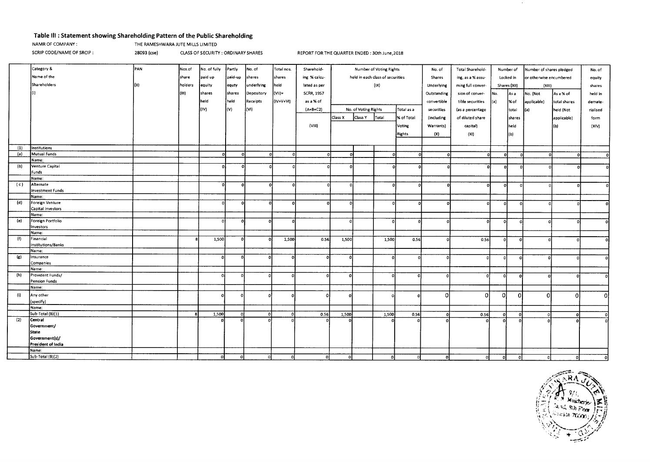# **Table Ill : Statement showing Shareholding Pattern of the Public Shareholding**

|  | NAMR OF COMPANY: |  |
|--|------------------|--|
|  |                  |  |

THE RAMESHWARA JUTE MILLS LIMITED

SCRIP CODE/NAME OF SRCIP : 28093 (cse) CLASS OF SECURITY : ORDINARY SHARES REPORT FOR THE QUARTER ENDED : 30th June,2018

|     | Category &         | PAN | Nos.of  | No. of fully | Partly   | No. of     | Total nos. | Sharehold-        |              |                      | Number of Voting Rights          |            | No. of      | Total Sharehold-  |          | Number of    | Number of shares pledged |              | No. of   |
|-----|--------------------|-----|---------|--------------|----------|------------|------------|-------------------|--------------|----------------------|----------------------------------|------------|-------------|-------------------|----------|--------------|--------------------------|--------------|----------|
|     | Name of the        |     | share   | paid up      | paid-up  | shares     | shares     | ing % calcu-      |              |                      | held in each class of securities |            | Shares      | ing, as a % assu- |          | Locked in    | or otherwise encumbered  |              | equity   |
|     | Shareholders       | 'n۱ | holders | equity       | equty    | underlying | held       | lated as per      |              |                      | (IX)                             |            | Underlying  | ming full conver- |          | Shares (XII) | (XIII)                   |              | shares   |
|     |                    |     | (III)   | shares       | shares   | Depository | $(VII)$ =  | <b>SCRR, 1957</b> |              |                      |                                  |            | Outstanding | sion of conver-   | No.      |              |                          |              | held in  |
|     |                    |     |         |              |          |            |            |                   |              |                      |                                  |            |             |                   |          | As a         | No. (Not                 | As a % of    |          |
|     |                    |     |         | held         | held     | Receipts   | (IV+V+VI)  | as a % of         |              |                      |                                  |            | convertible | tible securities  | (a)      | % of         | applicable)              | total shares | demate-  |
|     |                    |     |         | (IV)         | (V)      | (VI)       |            | $(A+B+C2)$        |              | No. of Voting Rights |                                  | Total as a | securities  | (as a percentage  |          | total        | (a)                      | held (Not    | rialised |
|     |                    |     |         |              |          |            |            |                   | Class X      | Class Y              | Total                            | % of Total | (including  | of diluted share  |          | shares       |                          | applicable)  | form     |
|     |                    |     |         |              |          |            |            | (VIII)            |              |                      |                                  | Voting     | Warrants)   | capital)          |          | held         |                          | (ы)          | (X V)    |
|     |                    |     |         |              |          |            |            |                   |              |                      |                                  |            |             |                   |          |              |                          |              |          |
|     |                    |     |         |              |          |            |            |                   |              |                      |                                  | Rights     | (X)         | (XI)              |          | l(b)         |                          |              |          |
|     |                    |     |         |              |          |            |            |                   |              |                      |                                  |            |             |                   |          |              |                          |              |          |
| (1) | Institutions       |     |         |              |          |            |            |                   |              |                      |                                  |            |             |                   |          |              |                          |              |          |
| (a) | Mutual Funds       |     |         | 0.           | $\Omega$ |            | $\Omega$   |                   | οł           |                      |                                  |            | $\Omega$    |                   |          | $\Omega$     | $\Omega$                 | Ω            | $\Omega$ |
|     | Name:              |     |         |              |          |            |            |                   |              |                      |                                  |            |             |                   |          |              |                          |              |          |
| (b) | Venture Capital    |     |         | οí           | Λ        |            |            |                   | $\Omega$     |                      | $\Omega$                         |            |             | -O.               | n        |              |                          |              |          |
|     | Funds<br>Name:     |     |         |              |          |            |            |                   |              |                      |                                  |            |             |                   |          |              |                          |              |          |
| (c) | Alternate          |     |         | $\Omega$     |          | $\Omega$   |            |                   | n            |                      | $\Omega$                         |            |             | $\Omega$          | $\Omega$ | $\Omega$     |                          |              |          |
|     | Investment Funds   |     |         |              |          |            |            |                   |              |                      |                                  |            |             |                   |          |              |                          |              |          |
|     | Name:              |     |         |              |          |            |            |                   |              |                      |                                  |            |             |                   |          |              |                          |              |          |
| (d) | Foreign Venture    |     |         | n            |          |            | $\Omega$   | $\Omega$          | $\mathbf{r}$ |                      |                                  |            | $\Omega$    | -ni               | $\Omega$ | $\Omega$     |                          |              |          |
|     | Capital Investors  |     |         |              |          |            |            |                   |              |                      |                                  |            |             |                   |          |              |                          |              |          |
|     | Name:              |     |         |              |          |            |            |                   |              |                      |                                  |            |             |                   |          |              |                          |              |          |
| (e) | Foreign Portfolio  |     |         | Ωİ           |          | $\Omega$   | $\Omega$   |                   |              |                      | $\Omega$                         |            | C.          | $\Omega$          | $\Omega$ | - Ol         |                          |              |          |
|     | Investors          |     |         |              |          |            |            |                   |              |                      |                                  |            |             |                   |          |              |                          |              |          |
|     | Name:              |     |         |              |          |            |            |                   |              |                      |                                  |            |             |                   |          |              |                          |              |          |
| (n) | Financial          |     |         | 1,500        |          | $\Omega$   | 1,500      | 0.56              | 1,500        |                      | 1,500                            | 0.56       |             | 0.56              | $\Omega$ | $\Omega$     |                          |              |          |
|     | Institutions/Banks |     |         |              |          |            |            |                   |              |                      |                                  |            |             |                   |          |              |                          |              |          |
| (g) | Name:<br>Insurance |     |         |              |          |            |            |                   |              |                      |                                  |            |             |                   |          |              |                          |              |          |
|     | Companies          |     |         |              |          |            |            |                   |              |                      | $\Omega$                         |            |             | n                 | -ol      | $\Omega$     |                          |              |          |
|     | Name:              |     |         |              |          |            |            |                   |              |                      |                                  |            |             |                   |          |              |                          |              |          |
| (h) | Provident Funds/   |     |         |              |          |            |            |                   |              |                      | $\Omega$                         |            |             | $\theta$          | 0ľ       | $\Omega$     |                          |              |          |
|     | Pension Funds      |     |         |              |          |            |            |                   |              |                      |                                  |            |             |                   |          |              |                          |              |          |
|     | Name:              |     |         |              |          |            |            |                   |              |                      |                                  |            |             |                   |          |              |                          |              |          |
| (i) | Any other          |     |         |              |          |            |            |                   |              |                      | $\Omega$                         |            | ∩           | n                 | οI       | 0            | $\Omega$                 | $\Omega$     | ΩI       |
|     | (specify)          |     |         |              |          |            |            |                   |              |                      |                                  |            |             |                   |          |              |                          |              |          |
|     | Name:              |     |         |              |          |            |            |                   |              |                      |                                  |            |             |                   |          |              |                          |              |          |
|     | Sub-Total (B)(1)   |     |         | 1,500        | $\Omega$ | -ol        |            | 0.56              | 1,500        |                      | 1,500                            | 0.56       | Λ           | 0.56              | $\Omega$ | $\Omega$     |                          | $\Omega$     |          |
| (2) | Central            |     |         |              |          | $\Omega$   |            |                   |              |                      |                                  |            |             |                   |          |              |                          |              |          |
|     | Government/        |     |         |              |          |            |            |                   |              |                      |                                  |            |             |                   |          |              |                          |              |          |
|     | <b>State</b>       |     |         |              |          |            |            |                   |              |                      |                                  |            |             |                   |          |              |                          |              |          |
|     | Government(s)/     |     |         |              |          |            |            |                   |              |                      |                                  |            |             |                   |          |              |                          |              |          |
|     | President of India |     |         |              |          |            |            |                   |              |                      |                                  |            |             |                   |          |              |                          |              |          |
|     | Name:              |     |         |              |          |            |            |                   |              |                      |                                  |            |             |                   |          |              |                          |              |          |
|     | Sub-Total (B)(2)   |     |         | -01          | o        | $\Omega$   | οl         | οt                | οI           |                      | - Ol                             |            | οI          |                   |          | n            | Ωİ                       |              |          |



 $\sim$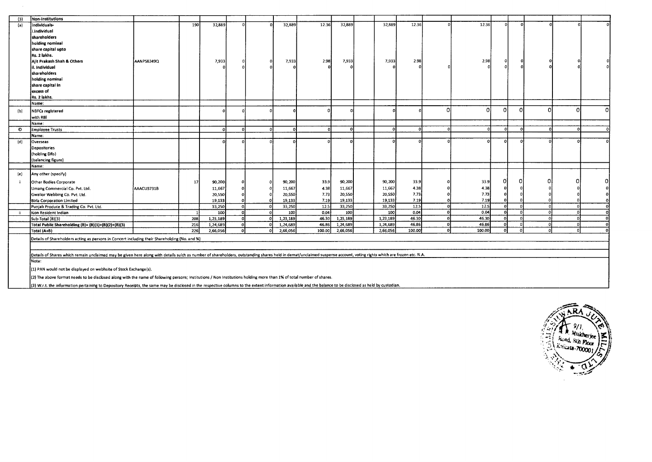| (3) | Non-institutions                                                                                                                                                                                                     |            |     |          |          |          |        |          |          |        |          |        |          |          |          |   |
|-----|----------------------------------------------------------------------------------------------------------------------------------------------------------------------------------------------------------------------|------------|-----|----------|----------|----------|--------|----------|----------|--------|----------|--------|----------|----------|----------|---|
| (a) | individuals-                                                                                                                                                                                                         |            | 190 | 32,889   |          | 32,889   | 12.36  | 32,889   | 32,889   | 12.36  |          | 12.36  |          |          |          |   |
|     | i.individual                                                                                                                                                                                                         |            |     |          |          |          |        |          |          |        |          |        |          |          |          |   |
|     | shareholders                                                                                                                                                                                                         |            |     |          |          |          |        |          |          |        |          |        |          |          |          |   |
|     | holding nominal                                                                                                                                                                                                      |            |     |          |          |          |        |          |          |        |          |        |          |          |          |   |
|     | share capital upto                                                                                                                                                                                                   |            |     |          |          |          |        |          |          |        |          |        |          |          |          |   |
|     | Rs. 2 lakhs.                                                                                                                                                                                                         |            |     |          |          |          |        |          |          |        |          |        |          |          |          |   |
|     |                                                                                                                                                                                                                      |            |     |          |          |          |        | 7,933    | 7,933    | 2.98   |          | 2.98   |          |          |          |   |
|     | Ajit Prakash Shah & Others                                                                                                                                                                                           | AANPS8249Q |     | 7,933    |          | 7,933    | 2.98   |          |          |        |          |        |          |          |          |   |
|     | ii. individual                                                                                                                                                                                                       |            |     |          |          |          |        |          |          |        |          |        |          |          |          |   |
|     | shareholders                                                                                                                                                                                                         |            |     |          |          |          |        |          |          |        |          |        |          |          |          |   |
|     | holding nominal                                                                                                                                                                                                      |            |     |          |          |          |        |          |          |        |          |        |          |          |          |   |
|     | share capital in                                                                                                                                                                                                     |            |     |          |          |          |        |          |          |        |          |        |          |          |          |   |
|     | excess of                                                                                                                                                                                                            |            |     |          |          |          |        |          |          |        |          |        |          |          |          |   |
|     | Rs. 2 lakhs.                                                                                                                                                                                                         |            |     |          |          |          |        |          |          |        |          |        |          |          |          |   |
|     | Name:                                                                                                                                                                                                                |            |     |          |          |          |        |          |          |        |          |        |          |          |          |   |
| (b) | NBFCs registered                                                                                                                                                                                                     |            |     |          |          |          | 0      |          |          |        |          | ΩI     | οI       | O        | O.       | n |
|     | with RBI                                                                                                                                                                                                             |            |     |          |          |          |        |          |          |        |          |        |          |          |          |   |
|     | Name:                                                                                                                                                                                                                |            |     |          |          |          |        |          |          |        |          |        |          |          |          |   |
| O   | <b>Employee Trusts</b>                                                                                                                                                                                               |            |     | o        |          | r        |        |          |          |        |          |        |          |          |          |   |
|     | Name:                                                                                                                                                                                                                |            |     |          |          |          |        |          |          |        |          |        |          |          |          |   |
| (d) | Overseas                                                                                                                                                                                                             |            |     |          |          |          |        |          |          |        |          |        |          |          |          |   |
|     | Depositories                                                                                                                                                                                                         |            |     |          |          |          |        |          |          |        |          |        |          |          |          |   |
|     | (holding DRs)                                                                                                                                                                                                        |            |     |          |          |          |        |          |          |        |          |        |          |          |          |   |
|     | (balancing figure)                                                                                                                                                                                                   |            |     |          |          |          |        |          |          |        |          |        |          |          |          |   |
|     | Name:                                                                                                                                                                                                                |            |     |          |          |          |        |          |          |        |          |        |          |          |          |   |
| (e) | Any other (specify)                                                                                                                                                                                                  |            |     |          |          |          |        |          |          |        |          |        |          |          |          |   |
|     | Other Bodies Corporate                                                                                                                                                                                               |            | 17  | 90,200   |          | 90,200   | 33.9   | 90,200   | 90,200   | 33.9   |          | 33.9   | n        |          |          |   |
|     | Umang Commercial Co. Pvt. Ltd.                                                                                                                                                                                       | AAACU3731B |     | 11,667   |          | 11,667   | 4.38   | 11,667   | 11,667   | 4.38   |          | 4.38   |          |          |          |   |
|     | Gwalior Webbing Co. Pvt. Ltd.                                                                                                                                                                                        |            |     | 20,550   |          | 20,550   | 7.73   | 20,550   | 20,550   | 7.73   |          | 7.73   |          |          |          |   |
|     | <b>Birla Corporation Limited</b>                                                                                                                                                                                     |            |     | 19,133   |          | 19,133   | 7.19   | 19,133   | 19,133   | 7.19   |          | 7.19   |          |          |          |   |
|     | Punjab Produce & Trading Co. Pvt. Ltd.                                                                                                                                                                               |            |     | 33,250   |          | 33,250   | 12.5   | 33,250   | 33,250   | 12.5   | ol       | 12.5   | $\Omega$ |          | $\Omega$ |   |
| ii. | Non Resident Indian                                                                                                                                                                                                  |            |     | 100      |          | 100      | 0.04   | 100      | 100      | 0.04   | οI       | 0.04   | Ωj       | $\Omega$ | n.       |   |
|     | Sub-Total (B)(3)                                                                                                                                                                                                     |            | 208 | 1,23,189 |          | 1,23,189 | 46.30  | 1,23,189 | 1,23,189 | 46.30  | - ol     | 46.30  |          |          | ി        |   |
|     | Total Public Shareholding (B)= (B)(1)+(B)(2)+(B)(3)                                                                                                                                                                  |            | 216 | 1,24,689 |          | 1,24,689 | 46.86  | 1,24,689 | 1,24,689 | 46.86  | $\Omega$ | 46.86  |          |          | ി        |   |
|     | Total (A+B)                                                                                                                                                                                                          |            | 226 | 2,66,056 | $\Omega$ | 2,66,056 | 100.00 | 2,66,056 | 2,66,056 | 100.00 | οI       | 100.00 |          |          |          |   |
|     | Details of Shareholders acting as persons in Concert including their Shareholding (No. and %)                                                                                                                        |            |     |          |          |          |        |          |          |        |          |        |          |          |          |   |
|     |                                                                                                                                                                                                                      |            |     |          |          |          |        |          |          |        |          |        |          |          |          |   |
|     | Details of Shares which remain unclaimed may be given here along with details suich as number of shareholders, outstanding shares held in demat/unclaimed suspense account, voting rights which are frozen etc. N.A. |            |     |          |          |          |        |          |          |        |          |        |          |          |          |   |
|     | Note:                                                                                                                                                                                                                |            |     |          |          |          |        |          |          |        |          |        |          |          |          |   |
|     | (1) PAN would not be displayed on webhsite of Stock Exchange(s).                                                                                                                                                     |            |     |          |          |          |        |          |          |        |          |        |          |          |          |   |
|     | (2) The above format needs to be disclosed along with the name of following persons; Institutions / Non Institutions holding more than 1% of total number of shares.                                                 |            |     |          |          |          |        |          |          |        |          |        |          |          |          |   |
|     | (3) W.r.t. the information pertaining to Depository Receipts, the same may be disclosed in the respective columns to the extent information available and the balance to be disclosed as held by custodian.          |            |     |          |          |          |        |          |          |        |          |        |          |          |          |   |